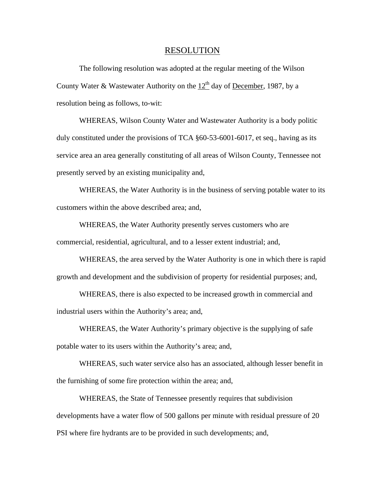## RESOLUTION

 The following resolution was adopted at the regular meeting of the Wilson County Water & Wastewater Authority on the  $12<sup>th</sup>$  day of December, 1987, by a resolution being as follows, to-wit:

 WHEREAS, Wilson County Water and Wastewater Authority is a body politic duly constituted under the provisions of TCA §60-53-6001-6017, et seq., having as its service area an area generally constituting of all areas of Wilson County, Tennessee not presently served by an existing municipality and,

 WHEREAS, the Water Authority is in the business of serving potable water to its customers within the above described area; and,

 WHEREAS, the Water Authority presently serves customers who are commercial, residential, agricultural, and to a lesser extent industrial; and,

 WHEREAS, the area served by the Water Authority is one in which there is rapid growth and development and the subdivision of property for residential purposes; and,

 WHEREAS, there is also expected to be increased growth in commercial and industrial users within the Authority's area; and,

 WHEREAS, the Water Authority's primary objective is the supplying of safe potable water to its users within the Authority's area; and,

 WHEREAS, such water service also has an associated, although lesser benefit in the furnishing of some fire protection within the area; and,

 WHEREAS, the State of Tennessee presently requires that subdivision developments have a water flow of 500 gallons per minute with residual pressure of 20 PSI where fire hydrants are to be provided in such developments; and,